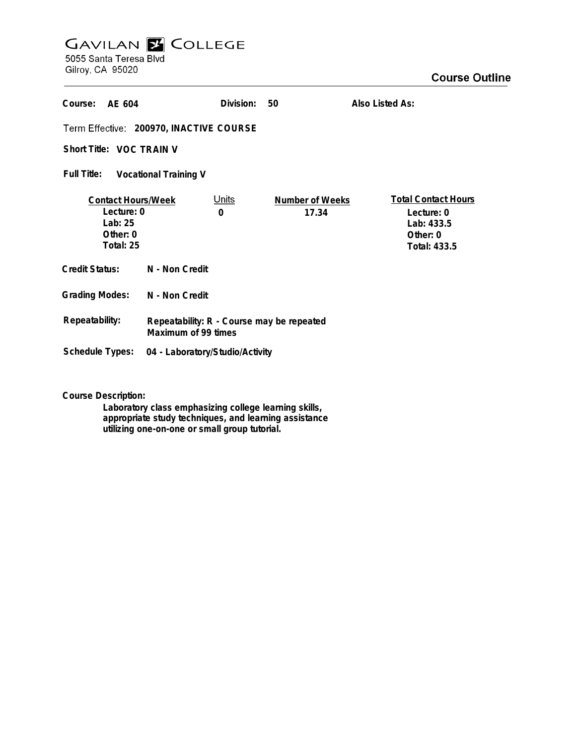# **GAVILAN E COLLEGE**<br>5055 Santa Teresa Blvd

Gilroy, CA 95020

| Course:<br>AF 604                                                           |                                                                  | Division:                | 50                       | Also Listed As:                                                                    |
|-----------------------------------------------------------------------------|------------------------------------------------------------------|--------------------------|--------------------------|------------------------------------------------------------------------------------|
| Term Effective: 200970, INACTIVE COURSE                                     |                                                                  |                          |                          |                                                                                    |
| Short Title: VOC TRAIN V                                                    |                                                                  |                          |                          |                                                                                    |
| Full Title:<br><b>Vocational Training V</b>                                 |                                                                  |                          |                          |                                                                                    |
| <b>Contact Hours/Week</b><br>Lecture: 0<br>Lab: 25<br>Other: 0<br>Total: 25 |                                                                  | <u>Units</u><br>$\Omega$ | Number of Weeks<br>17.34 | <b>Total Contact Hours</b><br>Lecture: 0<br>Lab: 433.5<br>Other: 0<br>Total: 433.5 |
| <b>Credit Status:</b>                                                       | N - Non Credit                                                   |                          |                          |                                                                                    |
| <b>Grading Modes:</b>                                                       | N - Non Credit                                                   |                          |                          |                                                                                    |
| Repeatability:                                                              | Repeatability: R - Course may be repeated<br>Maximum of 99 times |                          |                          |                                                                                    |
| Schedule Types:                                                             | 04 - Laboratory/Studio/Activity                                  |                          |                          |                                                                                    |

**Course Description:**

**Laboratory class emphasizing college learning skills, appropriate study techniques, and learning assistance utilizing one-on-one or small group tutorial.**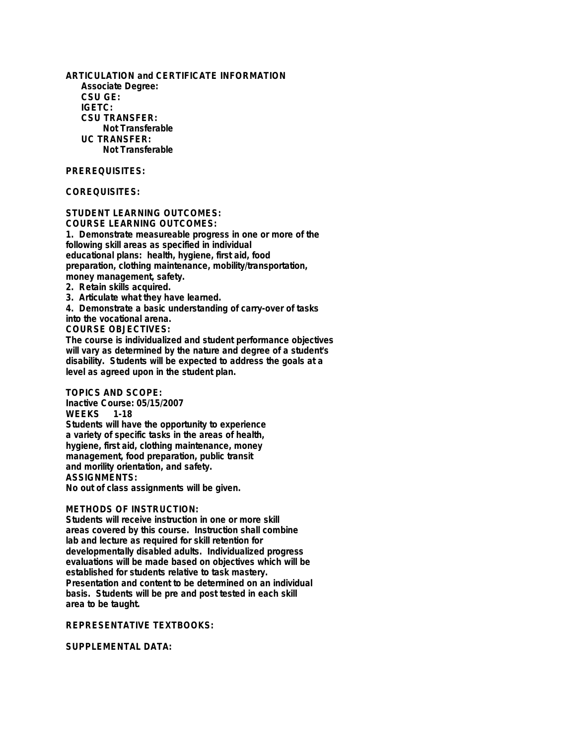**ARTICULATION and CERTIFICATE INFORMATION Associate Degree: CSU GE: IGETC: CSU TRANSFER: Not Transferable UC TRANSFER: Not Transferable**

## **PREREQUISITES:**

## **COREQUISITES:**

**STUDENT LEARNING OUTCOMES: COURSE LEARNING OUTCOMES: 1. Demonstrate measureable progress in one or more of the following skill areas as specified in individual educational plans: health, hygiene, first aid, food preparation, clothing maintenance, mobility/transportation, money management, safety. 2. Retain skills acquired.**

**3. Articulate what they have learned.**

**4. Demonstrate a basic understanding of carry-over of tasks**

**into the vocational arena.**

**COURSE OBJECTIVES:**

**The course is individualized and student performance objectives will vary as determined by the nature and degree of a student's disability. Students will be expected to address the goals at a level as agreed upon in the student plan.**

**TOPICS AND SCOPE:**

**Inactive Course: 05/15/2007 WEEKS 1-18 Students will have the opportunity to experience a variety of specific tasks in the areas of health, hygiene, first aid, clothing maintenance, money management, food preparation, public transit and morility orientation, and safety. ASSIGNMENTS: No out of class assignments will be given.**

#### **METHODS OF INSTRUCTION:**

**Students will receive instruction in one or more skill areas covered by this course. Instruction shall combine lab and lecture as required for skill retention for developmentally disabled adults. Individualized progress evaluations will be made based on objectives which will be established for students relative to task mastery. Presentation and content to be determined on an individual basis. Students will be pre and post tested in each skill area to be taught.**

### **REPRESENTATIVE TEXTBOOKS:**

**SUPPLEMENTAL DATA:**